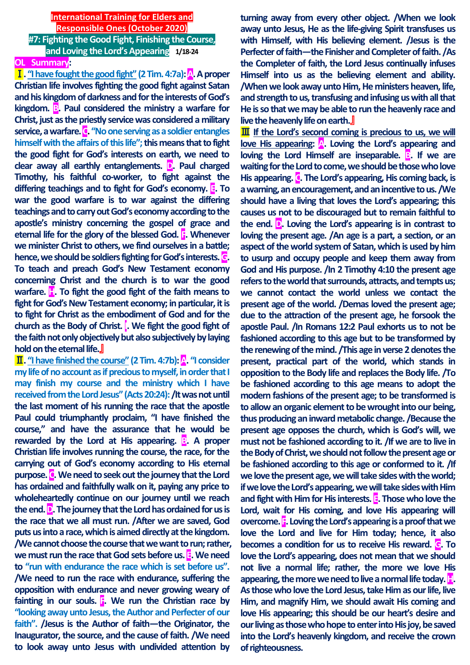# **International Training for Elders and Responsible Ones (October 2020) #7: Fighting the Good Fight, Finishing the Course, and Loving the Lord's Appearing 1/18-24**

# **OL Summary:**

Ⅰ**. "I have fought the good fight" (2 Tim.4:7a): A. A proper Christian life involves fighting the good fight against Satan and his kingdom of darkness and for the interests of God's**  kingdom. **B**. Paul considered the ministry a warfare for **Christ, just as the priestly service was considered a military service,a warfare. C. "No one serving as a soldier entangles himself with the affairs of this life"; this means that to fight the good fight for God's interests on earth, we need to clear away all earthly entanglements. D. Paul charged Timothy, his faithful co-worker, to fight against the differing teachings and to fight for God's economy. E. To war the good warfare is to war against the differing teachings and to carry out God's economy according to the apostle's ministry concerning the gospel of grace and eternal life for the glory of the blessed God. F. Whenever we minister Christ to others, we find ourselves in a battle; hence, we should be soldiers fighting for God's interests. G. To teach and preach God's New Testament economy concerning Christ and the church is to war the good warfare. H. To fight the good fight of the faith means to fight for God's New Testament economy; in particular, it is to fight for Christ as the embodiment of God and for the church as the Body of Christ. I. We fight the good fight of the faith not only objectively but also subjectively by laying hold on the eternal life.**』

Ⅱ**. "I have finished the course" (2 Tim. 4:7b): A. "I consider my life of no account as if precious to myself, in order that I may finish my course and the ministry which I have received from the Lord Jesus" (Acts 20:24): /It was not until the last moment of his running the race that the apostle Paul could triumphantly proclaim, "I have finished the course," and have the assurance that he would be rewarded by the Lord at His appearing. B. A proper Christian life involves running the course, the race, for the carrying out of God's economy according to His eternal purpose. C. We need to seek out the journey that the Lord has ordained and faithfully walk on it, paying any price to wholeheartedly continue on our journey until we reach the end. D. The journey that the Lord has ordained for us is the race that we all must run. /After we are saved, God puts us into a race, which is aimed directly at the kingdom. /We cannot choose the course that we want to run; rather, we must run the race that God sets before us. E. We need to "run with endurance the race which is set before us". /We need to run the race with endurance, suffering the opposition with endurance and never growing weary of fainting in our souls. F. We run the Christian race by "looking away unto Jesus, the Author and Perfecter of our faith". /Jesus is the Author of faith—the Originator, the Inaugurator, the source, and the cause of faith. /We need to look away unto Jesus with undivided attention by** 

**turning away from every other object. /When we look away unto Jesus, He as the life-giving Spirit transfuses us with Himself, with His believing element. /Jesus is the Perfecter of faith—the Finisher and Completer of faith. /As the Completer of faith, the Lord Jesus continually infuses Himself into us as the believing element and ability. /When we look away unto Him, He ministers heaven, life, and strength to us, transfusing and infusing us with all that He is so that we may be able to run the heavenly race and live the heavenly life on earth.**』

**III** If the Lord's second coming is precious to us, we will **love His appearing: A. Loving the Lord's appearing and loving the Lord Himself are inseparable. B. If we are waiting for the Lord to come, we should be those who love His appearing. C. The Lord's appearing, His coming back, is a warning, an encouragement, and an incentive to us. /We should have a living that loves the Lord's appearing; this causes us not to be discouraged but to remain faithful to the end. D. Loving the Lord's appearing is in contrast to loving the present age. /An age is a part, a section, or an aspect of the world system of Satan, which is used by him to usurp and occupy people and keep them away from God and His purpose. /In 2 Timothy 4:10 the present age refers to the world that surrounds, attracts, and tempts us; we cannot contact the world unless we contact the present age of the world. /Demas loved the present age; due to the attraction of the present age, he forsook the apostle Paul. /In Romans 12:2 Paul exhorts us to not be fashioned according to this age but to be transformed by**  the renewing of the mind. **/This age in verse 2 denotes the present, practical part of the world, which stands in opposition to the Body life and replaces the Body life. /To be fashioned according to this age means to adopt the modern fashions of the present age; to be transformed is to allow an organic element to be wrought into our being, thus producing an inward metabolic change. /Because the present age opposes the church, which is God's will, we must not be fashioned according to it. /If we are to live in the Body of Christ, we should not follow the present age or be fashioned according to this age or conformed to it. /If we love the present age, we will take sides with the world; if we love the Lord's appearing, we will take sides with Him and fight with Him for His interests. E. Those who love the Lord, wait for His coming, and love His appearing will overcome. F. Loving the Lord's appearing is a proof that we love the Lord and live for Him today; hence, it also becomes a condition for us to receive His reward. G. To love the Lord's appearing, does not mean that we should not live a normal life; rather, the more we love His**  appearing, the more we need to live a normal life today. **H**. **As those who love the Lord Jesus, take Him as our life, live Him, and magnify Him, we should await His coming and love His appearing; this should be our heart's desire and our living as those who hope to enter into His joy, be saved into the Lord's heavenly kingdom, and receive the crown of righteousness.**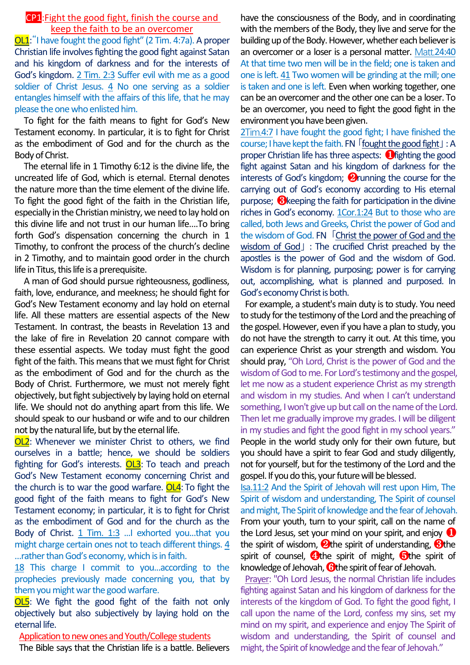### CP1:Fight the good fight, finish the course and keep the faith to be an overcomer

OL1:"I have fought the good fight" (2 Tim. 4:7a). A proper Christian life involves fighting the good fight against Satan and his kingdom of darkness and for the interests of God's kingdom. 2 Tim. 2:3 Suffer evil with me as a good soldier of Christ Jesus. 4 No one serving as a soldier entangles himself with the affairs of this life, that he may please the one who enlisted him.

To fight for the faith means to fight for God's New Testament economy. In particular, it is to fight for Christ as the embodiment of God and for the church as the Body of Christ.

The eternal life in 1 Timothy 6:12 is the divine life, the uncreated life of God, which is eternal. Eternal denotes the nature more than the time element of the divine life. To fight the good fight of the faith in the Christian life, especially in the Christian ministry, we need to lay hold on this divine life and not trust in our human life….To bring forth God's dispensation concerning the church in 1 Timothy, to confront the process of the church's decline in 2 Timothy, and to maintain good order in the church life in Titus, this life is a prerequisite.

A man of God should pursue righteousness, godliness, faith, love, endurance, and meekness; he should fight for God's New Testament economy and lay hold on eternal life. All these matters are essential aspects of the New Testament. In contrast, the beasts in Revelation 13 and the lake of fire in Revelation 20 cannot compare with these essential aspects. We today must fight the good fight of the faith. This means that we must fight for Christ as the embodiment of God and for the church as the Body of Christ. Furthermore, we must not merely fight objectively, but fight subjectively by laying hold on eternal life. We should not do anything apart from this life. We should speak to our husband or wife and to our children not by the natural life, but by the eternal life.

**OL2**: Whenever we minister Christ to others, we find ourselves in a battle; hence, we should be soldiers fighting for God's interests. OL3: To teach and preach God's New Testament economy concerning Christ and the church is to war the good warfare. OL4: To fight the good fight of the faith means to fight for God's New Testament economy; in particular, it is to fight for Christ as the embodiment of God and for the church as the Body of Christ. 1 Tim. 1:3 ...I exhorted you...that you might charge certain ones not to teach different things. 4 …rather than God's economy, which is in faith.

18 This charge I commit to you...according to the prophecies previously made concerning you, that by them you might war the good warfare.

OL5: We fight the good fight of the faith not only objectively but also subjectively by laying hold on the eternal life.

Application to new ones and Youth/College students

The Bible says that the Christian life is a battle. Believers

have the consciousness of the Body, and in coordinating with the members of the Body, they live and serve for the building up of the Body. However, whether each believer is an overcomer or a loser is a personal matter. Matt.24:40 At that time two men will be in the field; one is taken and one is left. 41 Two women will be grinding at the mill; one is taken and one is left. Even when working together, one can be an overcomer and the other one can be a loser. To be an overcomer, you need to fight the good fight in the environment you have been given.

2Tim.4:7 I have fought the good fight; I have finished the course; I have kept the faith. FN「fought the good fight」: A proper Christian life has three aspects: ❶fighting the good fight against Satan and his kingdom of darkness for the interests of God's kingdom; ❷running the course for the carrying out of God's economy according to His eternal purpose; ❸keeping the faith for participation in the divine riches in God's economy. 1Cor.1:24 But to those who are called, both Jews and Greeks, Christ the power of God and the wisdom of God. FN「Christ the power of God and the wisdom of God」: The crucified Christ preached by the apostles is the power of God and the wisdom of God. Wisdom is for planning, purposing; power is for carrying out, accomplishing, what is planned and purposed. In God's economy Christ is both.

For example, a student's main duty is to study. You need to study for the testimony of the Lord and the preaching of the gospel. However, even if you have a plan to study, you do not have the strength to carry it out. At this time, you can experience Christ as your strength and wisdom. You should pray, "Oh Lord, Christ is the power of God and the wisdom of God to me. For Lord's testimony and the gospel, let me now as a student experience Christ as my strength and wisdom in my studies. And when I can't understand something, I won't give up but call on the name of the Lord. Then let me gradually improve my grades. I will be diligent in my studies and fight the good fight in my school years." People in the world study only for their own future, but you should have a spirit to fear God and study diligently, not for yourself, but for the testimony of the Lord and the gospel. If you do this, your future will be blessed.

Isa.11:2 And the Spirit of Jehovah will rest upon Him, The Spirit of wisdom and understanding, The Spirit of counsel and might, The Spirit of knowledge and the fear of Jehovah. From your youth, turn to your spirit, call on the name of the Lord Jesus, set your mind on your spirit, and enjoy  $\bullet$ the spirit of wisdom,  $\Omega$  the spirit of understanding,  $\Omega$  the spirit of counsel,  $\bigoplus$ the spirit of might,  $\bigoplus$ the spirit of knowledge of Jehovah, **Othe spirit of fear of Jehovah.** 

Prayer: "Oh Lord Jesus, the normal Christian life includes fighting against Satan and his kingdom of darkness for the interests of the kingdom of God. To fight the good fight, I call upon the name of the Lord, confess my sins, set my mind on my spirit, and experience and enjoy The Spirit of wisdom and understanding, the Spirit of counsel and might, the Spirit of knowledge and the fear of Jehovah."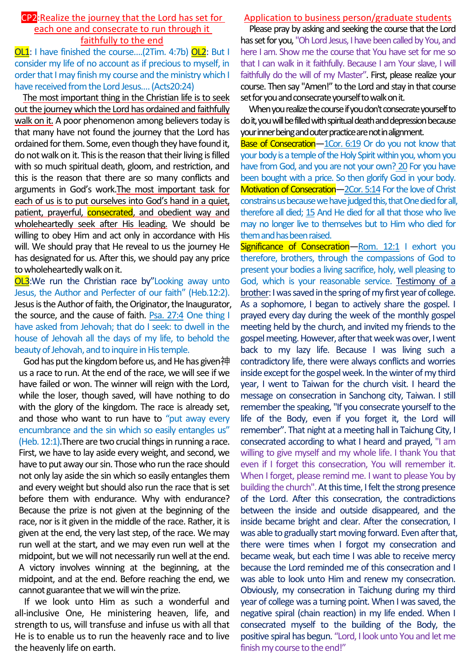### CP2:Realize the journey that the Lord has set for each one and consecrate to run through it faithfully to the end

OL1: I have finished the course....(2Tim. 4:7b) OL2: But I consider my life of no account as if precious to myself, in order that I may finish my course and the ministry which I have received from the Lord Jesus…. (Acts20:24)

The most important thing in the Christian life is to seek out the journey which the Lord has ordained and faithfully walk on it. A poor phenomenon among believers today is that many have not found the journey that the Lord has ordained for them. Some, even though they have found it, do not walk on it. This is the reason that their living is filled with so much spiritual death, gloom, and restriction, and this is the reason that there are so many conflicts and arguments in God's work.The most important task for each of us is to put ourselves into God's hand in a quiet, patient, prayerful, **consecrated**, and obedient way and wholeheartedly seek after His leading. We should be willing to obey Him and act only in accordance with His will. We should pray that He reveal to us the journey He has designated for us. After this, we should pay any price to wholeheartedly walk on it.

**OL3:**We run the Christian race by"Looking away unto Jesus, the Author and Perfecter of our faith" (Heb.12:2). Jesus is the Author of faith, the Originator, the Inaugurator, the source, and the cause of faith. Psa. 27:4 One thing I have asked from Jehovah; that do I seek: to dwell in the house of Jehovah all the days of my life, to behold the beauty of Jehovah, and to inquire in His temple.

God has put the kingdom before us, and He has given神 us a race to run. At the end of the race, we will see if we have failed or won. The winner will reign with the Lord, while the loser, though saved, will have nothing to do with the glory of the kingdom. The race is already set, and those who want to run have to "put away every encumbrance and the sin which so easily entangles us" (Heb. 12:1).There are two crucial things in running a race. First, we have to lay aside every weight, and second, we have to put away our sin. Those who run the race should not only lay aside the sin which so easily entangles them and every weight but should also run the race that is set before them with endurance. Why with endurance? Because the prize is not given at the beginning of the race, nor is it given in the middle of the race. Rather, it is given at the end, the very last step, of the race. We may run well at the start, and we may even run well at the midpoint, but we will not necessarily run well at the end. A victory involves winning at the beginning, at the midpoint, and at the end. Before reaching the end, we cannot guarantee that we will win the prize.

If we look unto Him as such a wonderful and all-inclusive One, He ministering heaven, life, and strength to us, will transfuse and infuse us with all that He is to enable us to run the heavenly race and to live the heavenly life on earth.

## Application to business person/graduate students

Please pray by asking and seeking the course that the Lord has set for you, "Oh Lord Jesus, I have been called by You, and here I am. Show me the course that You have set for me so that I can walk in it faithfully. Because I am Your slave, I will faithfully do the will of my Master". First, please realize your course. Then say "Amen!" to the Lord and stay in that course set for you and consecrate yourself to walk on it.

When you realize the course if you don't consecrate yourself to do it, you will be filled with spiritual death and depression because your inner being and outer practice are not in alignment.

Base of Consecration-1Cor. 6:19 Or do you not know that your body is a temple of the Holy Spirit within you, whom you have from God, and you are not your own? 20 For you have been bought with a price. So then glorify God in your body. Motivation of Consecration—2Cor. 5:14 For the love of Christ constrains us because we have judged this, that One died for all, therefore all died; 15 And He died for all that those who live may no longer live to themselves but to Him who died for them and has been raised.

Significance of Consecration-Rom. 12:1 I exhort you therefore, brothers, through the compassions of God to present your bodies a living sacrifice, holy, well pleasing to God, which is your reasonable service. Testimony of a brother: I was saved in the spring of my first year of college. As a sophomore, I began to actively share the gospel. I prayed every day during the week of the monthly gospel meeting held by the church, and invited my friends to the gospel meeting. However, after that week was over, I went back to my lazy life. Because I was living such a contradictory life, there were always conflicts and worries inside except for the gospel week. In the winter of my third year, I went to Taiwan for the church visit. I heard the message on consecration in Sanchong city, Taiwan. I still remember the speaking, "If you consecrate yourself to the life of the Body, even if you forget it, the Lord will remember". That night at a meeting hall in Taichung City, I consecrated according to what I heard and prayed, "I am willing to give myself and my whole life. I thank You that even if I forget this consecration, You will remember it. When I forget, please remind me. I want to please You by building the church". At this time, I felt the strong presence of the Lord. After this consecration, the contradictions between the inside and outside disappeared, and the inside became bright and clear. After the consecration, I was able to gradually start moving forward. Even after that, there were times when I forgot my consecration and became weak, but each time I was able to receive mercy because the Lord reminded me of this consecration and I was able to look unto Him and renew my consecration. Obviously, my consecration in Taichung during my third year of college was a turning point. When I was saved, the negative spiral (chain reaction) in my life ended. When I consecrated myself to the building of the Body, the positive spiral has begun. "Lord, I look unto You and let me finish my course to the end!"